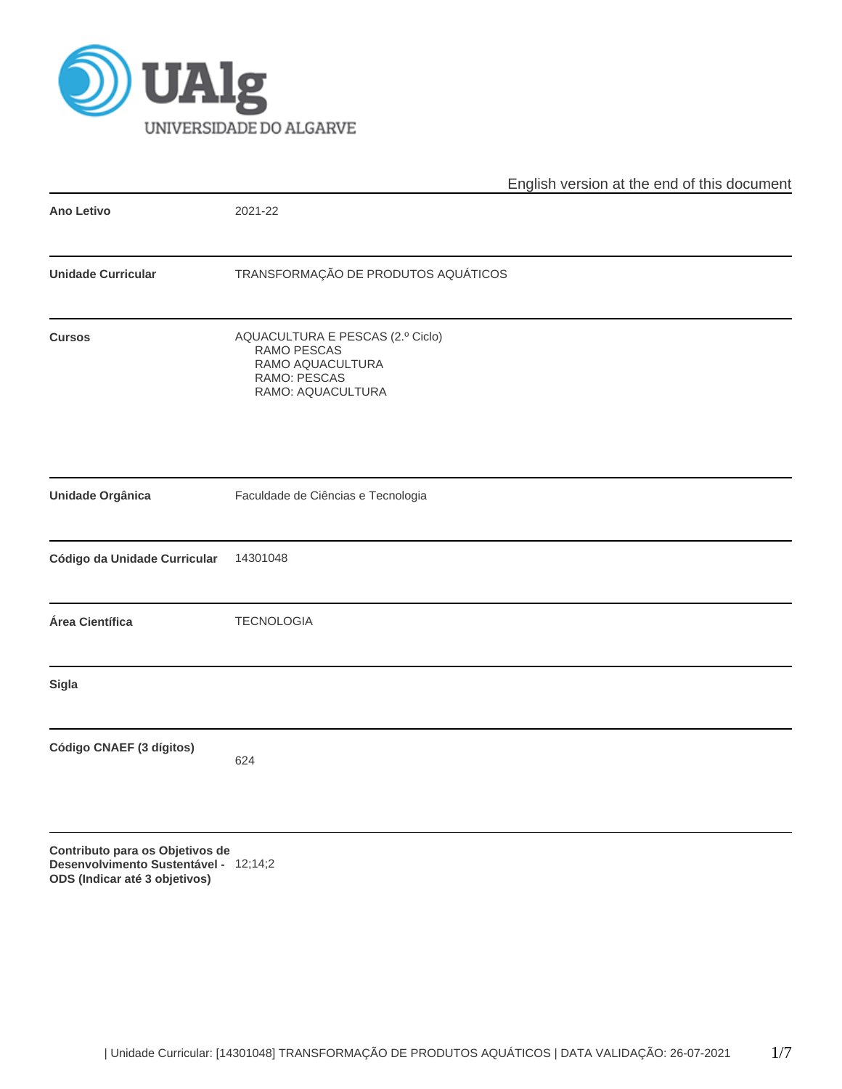

|                              | English version at the end of this document                                                              |  |  |  |  |  |  |
|------------------------------|----------------------------------------------------------------------------------------------------------|--|--|--|--|--|--|
| Ano Letivo                   | 2021-22                                                                                                  |  |  |  |  |  |  |
| <b>Unidade Curricular</b>    | TRANSFORMAÇÃO DE PRODUTOS AQUÁTICOS                                                                      |  |  |  |  |  |  |
| <b>Cursos</b>                | AQUACULTURA E PESCAS (2.º Ciclo)<br>RAMO PESCAS<br>RAMO AQUACULTURA<br>RAMO: PESCAS<br>RAMO: AQUACULTURA |  |  |  |  |  |  |
| Unidade Orgânica             | Faculdade de Ciências e Tecnologia                                                                       |  |  |  |  |  |  |
| Código da Unidade Curricular | 14301048                                                                                                 |  |  |  |  |  |  |
| Área Científica              | <b>TECNOLOGIA</b>                                                                                        |  |  |  |  |  |  |
| Sigla                        |                                                                                                          |  |  |  |  |  |  |
| Código CNAEF (3 dígitos)     | 624                                                                                                      |  |  |  |  |  |  |
|                              |                                                                                                          |  |  |  |  |  |  |

**Contributo para os Objetivos de Desenvolvimento Sustentável - ODS (Indicar até 3 objetivos)** 12;14;2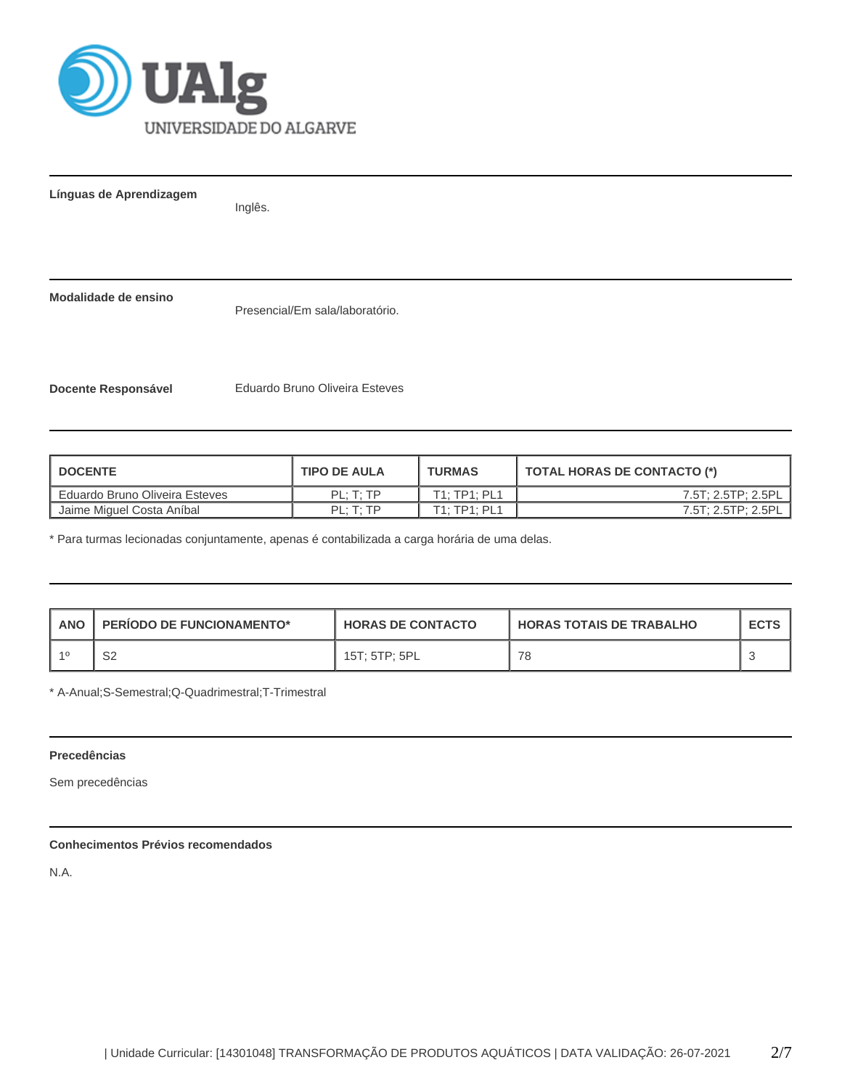

**Línguas de Aprendizagem**

Inglês.

**Modalidade de ensino**

Presencial/Em sala/laboratório.

**Docente Responsável** Eduardo Bruno Oliveira Esteves

| <b>DOCENTE</b>                   | <b>TIPO DE AULA</b>   | <b>TURMAS</b> | TOTAL HORAS DE CONTACTO (*) |
|----------------------------------|-----------------------|---------------|-----------------------------|
| L Eduardo Bruno Oliveira Esteves | $PI \cdot T \cdot TP$ | T1: TP1: PL1  | 7.5T: 2.5TP: 2.5PL          |
| Jaime Miguel Costa Aníbal        | PL: T: TP             | T1: TP1: PL1  | 7.5T: 2.5TP: 2.5PL          |

\* Para turmas lecionadas conjuntamente, apenas é contabilizada a carga horária de uma delas.

| <b>ANO</b> | <b>PERIODO DE FUNCIONAMENTO*</b> | <b>HORAS DE CONTACTO</b> | <b>HORAS TOTAIS DE TRABALHO</b> | <b>ECTS</b> |
|------------|----------------------------------|--------------------------|---------------------------------|-------------|
|            | S2                               | 15T: 5TP: 5PL            | 78                              |             |

\* A-Anual;S-Semestral;Q-Quadrimestral;T-Trimestral

# **Precedências**

Sem precedências

# **Conhecimentos Prévios recomendados**

N.A.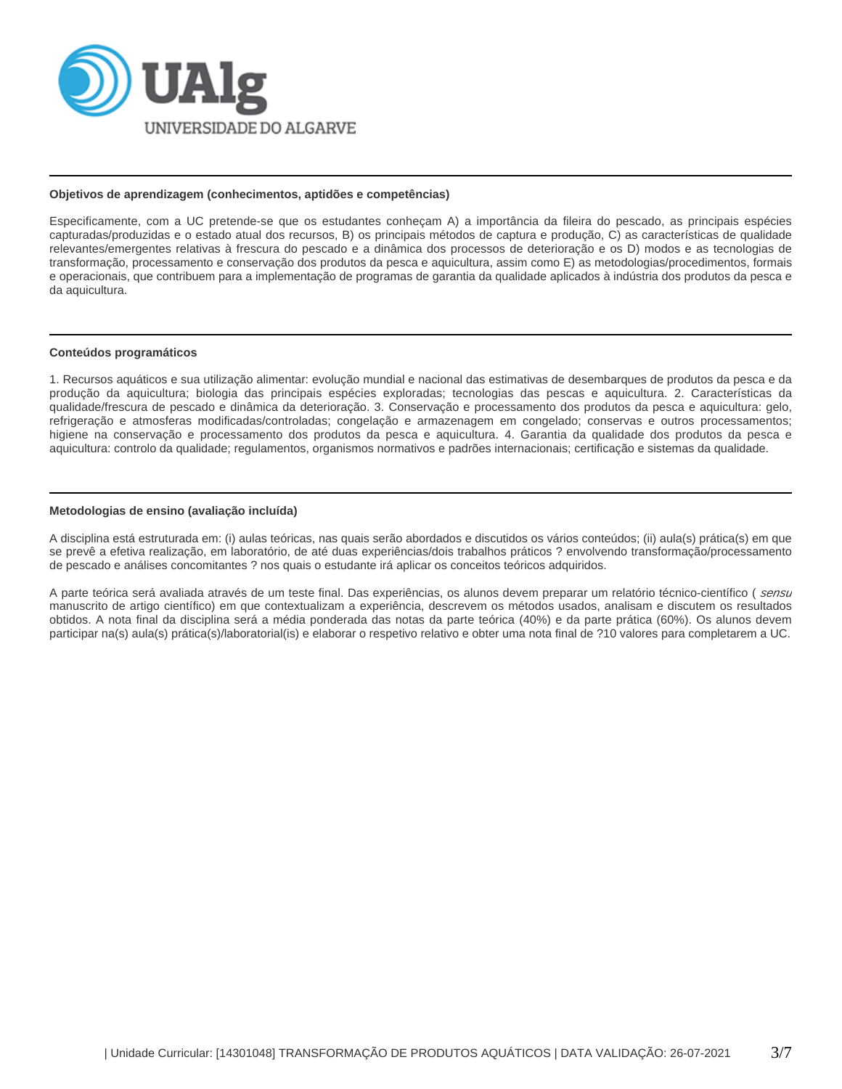

# **Objetivos de aprendizagem (conhecimentos, aptidões e competências)**

Especificamente, com a UC pretende-se que os estudantes conheçam A) a importância da fileira do pescado, as principais espécies capturadas/produzidas e o estado atual dos recursos, B) os principais métodos de captura e produção, C) as características de qualidade relevantes/emergentes relativas à frescura do pescado e a dinâmica dos processos de deterioração e os D) modos e as tecnologias de transformação, processamento e conservação dos produtos da pesca e aquicultura, assim como E) as metodologias/procedimentos, formais e operacionais, que contribuem para a implementação de programas de garantia da qualidade aplicados à indústria dos produtos da pesca e da aquicultura.

# **Conteúdos programáticos**

1. Recursos aquáticos e sua utilização alimentar: evolução mundial e nacional das estimativas de desembarques de produtos da pesca e da produção da aquicultura; biologia das principais espécies exploradas; tecnologias das pescas e aquicultura. 2. Características da qualidade/frescura de pescado e dinâmica da deterioração. 3. Conservação e processamento dos produtos da pesca e aquicultura: gelo, refrigeração e atmosferas modificadas/controladas; congelação e armazenagem em congelado; conservas e outros processamentos; higiene na conservação e processamento dos produtos da pesca e aquicultura. 4. Garantia da qualidade dos produtos da pesca e aquicultura: controlo da qualidade; regulamentos, organismos normativos e padrões internacionais; certificação e sistemas da qualidade.

# **Metodologias de ensino (avaliação incluída)**

A disciplina está estruturada em: (i) aulas teóricas, nas quais serão abordados e discutidos os vários conteúdos; (ii) aula(s) prática(s) em que se prevê a efetiva realização, em laboratório, de até duas experiências/dois trabalhos práticos ? envolvendo transformação/processamento de pescado e análises concomitantes ? nos quais o estudante irá aplicar os conceitos teóricos adquiridos.

A parte teórica será avaliada através de um teste final. Das experiências, os alunos devem preparar um relatório técnico-científico ( sensu manuscrito de artigo científico) em que contextualizam a experiência, descrevem os métodos usados, analisam e discutem os resultados obtidos. A nota final da disciplina será a média ponderada das notas da parte teórica (40%) e da parte prática (60%). Os alunos devem participar na(s) aula(s) prática(s)/laboratorial(is) e elaborar o respetivo relativo e obter uma nota final de ?10 valores para completarem a UC.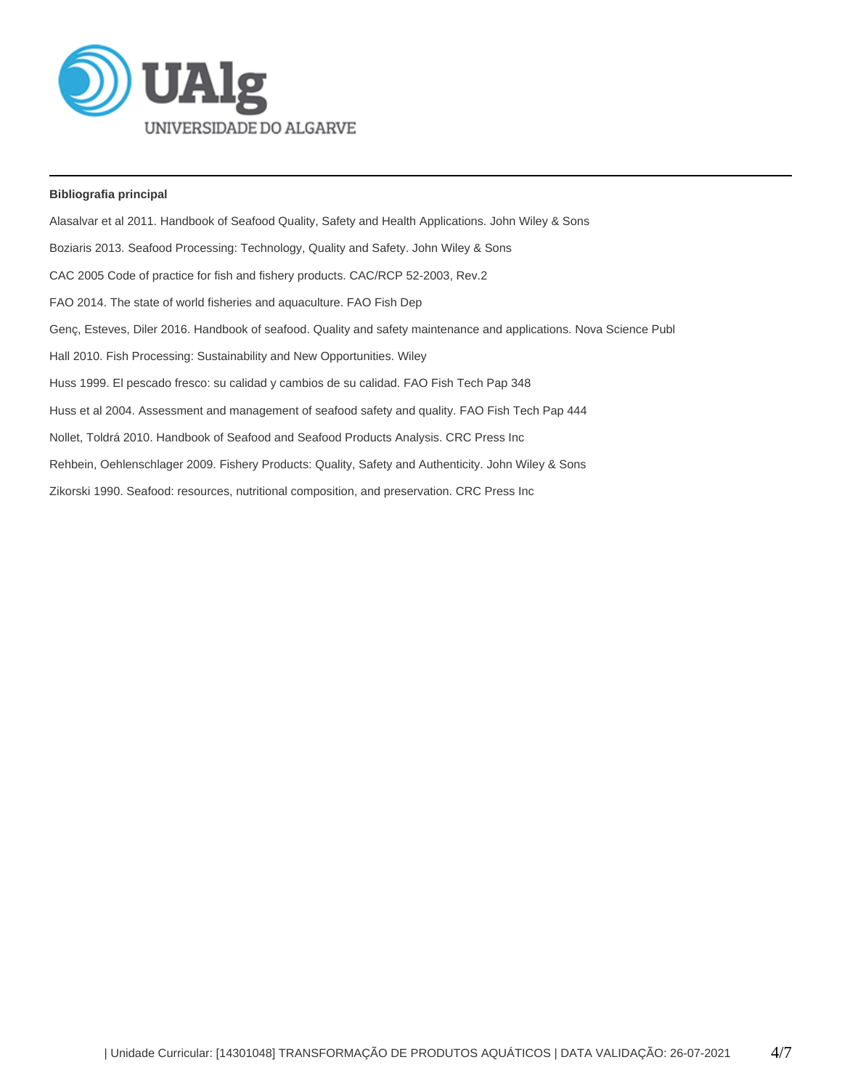

# **Bibliografia principal**

Alasalvar et al 2011. Handbook of Seafood Quality, Safety and Health Applications. John Wiley & Sons Boziaris 2013. Seafood Processing: Technology, Quality and Safety. John Wiley & Sons CAC 2005 Code of practice for fish and fishery products. CAC/RCP 52-2003, Rev.2 FAO 2014. The state of world fisheries and aquaculture. FAO Fish Dep Genç, Esteves, Diler 2016. Handbook of seafood. Quality and safety maintenance and applications. Nova Science Publ Hall 2010. Fish Processing: Sustainability and New Opportunities. Wiley Huss 1999. El pescado fresco: su calidad y cambios de su calidad. FAO Fish Tech Pap 348 Huss et al 2004. Assessment and management of seafood safety and quality. FAO Fish Tech Pap 444 Nollet, Toldrá 2010. Handbook of Seafood and Seafood Products Analysis. CRC Press Inc Rehbein, Oehlenschlager 2009. Fishery Products: Quality, Safety and Authenticity. John Wiley & Sons Zikorski 1990. Seafood: resources, nutritional composition, and preservation. CRC Press Inc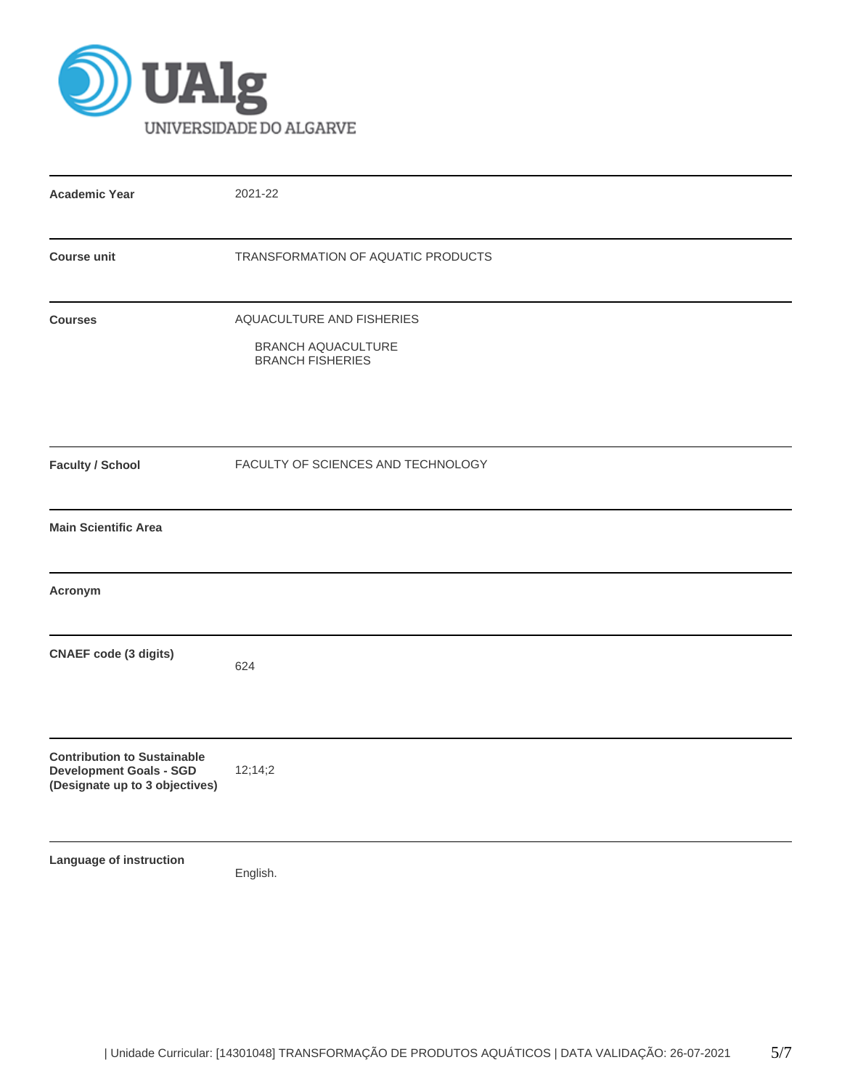

| <b>Academic Year</b>                                                                                   | 2021-22                                                                    |  |  |  |  |  |
|--------------------------------------------------------------------------------------------------------|----------------------------------------------------------------------------|--|--|--|--|--|
| <b>Course unit</b>                                                                                     | TRANSFORMATION OF AQUATIC PRODUCTS                                         |  |  |  |  |  |
| <b>Courses</b>                                                                                         | AQUACULTURE AND FISHERIES<br>BRANCH AQUACULTURE<br><b>BRANCH FISHERIES</b> |  |  |  |  |  |
| <b>Faculty / School</b>                                                                                | FACULTY OF SCIENCES AND TECHNOLOGY                                         |  |  |  |  |  |
| <b>Main Scientific Area</b>                                                                            |                                                                            |  |  |  |  |  |
| Acronym                                                                                                |                                                                            |  |  |  |  |  |
| <b>CNAEF</b> code (3 digits)                                                                           | 624                                                                        |  |  |  |  |  |
| <b>Contribution to Sustainable</b><br><b>Development Goals - SGD</b><br>(Designate up to 3 objectives) | 12;14;2                                                                    |  |  |  |  |  |
| Language of instruction                                                                                | English.                                                                   |  |  |  |  |  |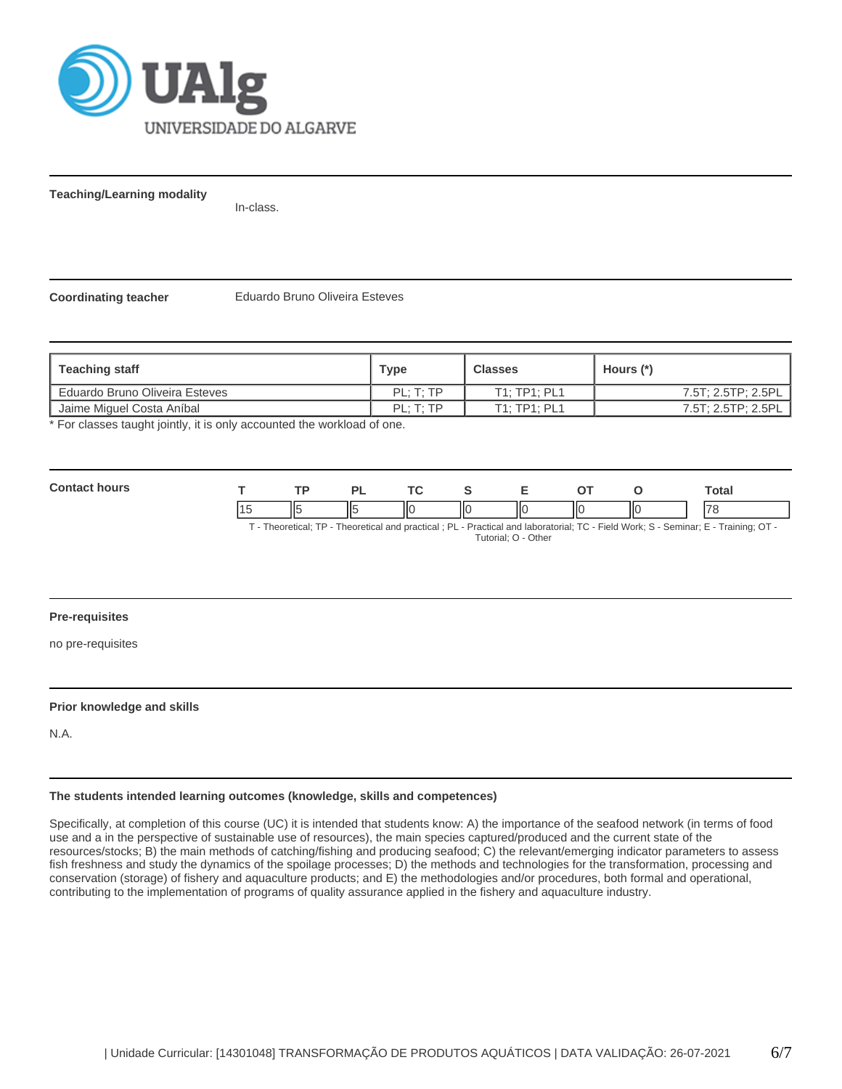

**Teaching/Learning modality**

In-class.

**Coordinating teacher** Eduardo Bruno Oliveira Esteves

| ∣ Teaching staff               | <b>Type</b> | <b>Classes</b> | Hours (*)          |
|--------------------------------|-------------|----------------|--------------------|
| Eduardo Bruno Oliveira Esteves | PL: T: TP   | T1: TP1: PL1   | 7.5T: 2.5TP: 2.5PL |
| Jaime Miguel Costa Aníbal      | PL: T: TP   | T1: TP1: PL1   | 7.5T; 2.5TP; 2.5PL |

\* For classes taught jointly, it is only accounted the workload of one.

| Cont |                | D) |     |    |   | -- |    | Total  |
|------|----------------|----|-----|----|---|----|----|--------|
| . .  | Ш<br><b>II</b> |    | IІC | IЮ | Ш | IЮ | ШC | $\neg$ |

T - Theoretical; TP - Theoretical and practical ; PL - Practical and laboratorial; TC - Field Work; S - Seminar; E - Training; OT - Tutorial; O - Other

# **Pre-requisites**

no pre-requisites

# **Prior knowledge and skills**

N.A.

#### **The students intended learning outcomes (knowledge, skills and competences)**

Specifically, at completion of this course (UC) it is intended that students know: A) the importance of the seafood network (in terms of food use and a in the perspective of sustainable use of resources), the main species captured/produced and the current state of the resources/stocks; B) the main methods of catching/fishing and producing seafood; C) the relevant/emerging indicator parameters to assess fish freshness and study the dynamics of the spoilage processes; D) the methods and technologies for the transformation, processing and conservation (storage) of fishery and aquaculture products; and E) the methodologies and/or procedures, both formal and operational, contributing to the implementation of programs of quality assurance applied in the fishery and aquaculture industry.